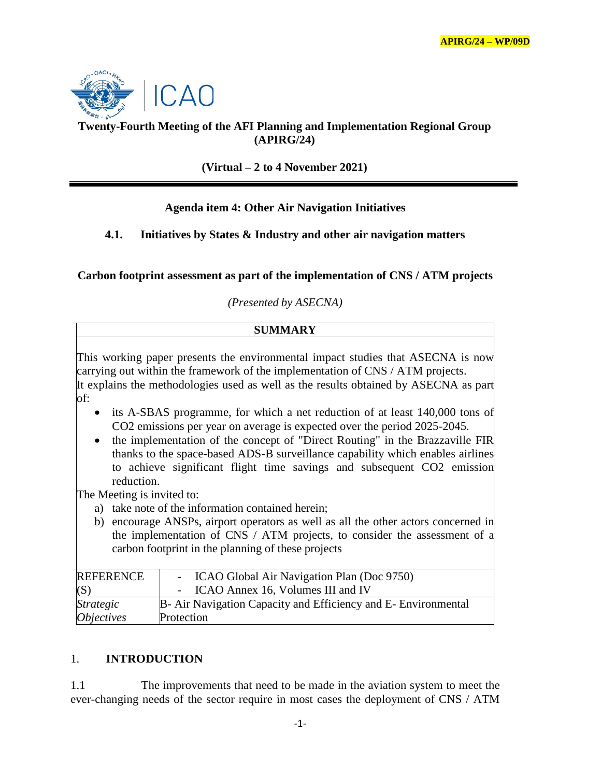

# **Twenty-Fourth Meeting of the AFI Planning and Implementation Regional Group (APIRG/24)**

**(Virtual – 2 to 4 November 2021)**

# **Agenda item 4: Other Air Navigation Initiatives**

**4.1. Initiatives by States & Industry and other air navigation matters**

**Carbon footprint assessment as part of the implementation of CNS / ATM projects**

*(Presented by ASECNA)*

| <b>SUMMARY</b> |                                                                                                                                                                                                                                                                                                                                                                                                                     |  |  |  |
|----------------|---------------------------------------------------------------------------------------------------------------------------------------------------------------------------------------------------------------------------------------------------------------------------------------------------------------------------------------------------------------------------------------------------------------------|--|--|--|
| of:            | This working paper presents the environmental impact studies that ASECNA is now<br>carrying out within the framework of the implementation of CNS / ATM projects.<br>It explains the methodologies used as well as the results obtained by ASECNA as part                                                                                                                                                           |  |  |  |
|                | its A-SBAS programme, for which a net reduction of at least 140,000 tons of<br>CO2 emissions per year on average is expected over the period 2025-2045.<br>• the implementation of the concept of "Direct Routing" in the Brazzaville FIR<br>thanks to the space-based ADS-B surveillance capability which enables airlines<br>to achieve significant flight time savings and subsequent CO2 emission<br>reduction. |  |  |  |
|                | The Meeting is invited to:                                                                                                                                                                                                                                                                                                                                                                                          |  |  |  |
|                | a) take note of the information contained herein;                                                                                                                                                                                                                                                                                                                                                                   |  |  |  |
|                | b) encourage ANSPs, airport operators as well as all the other actors concerned in<br>the implementation of CNS / ATM projects, to consider the assessment of a                                                                                                                                                                                                                                                     |  |  |  |

| carbon footprint in the planning of these projects |                                                                |  |  |  |  |
|----------------------------------------------------|----------------------------------------------------------------|--|--|--|--|
| <b>REFERENCE</b>                                   | - ICAO Global Air Navigation Plan (Doc 9750)                   |  |  |  |  |
| (S)                                                | - ICAO Annex 16, Volumes III and IV                            |  |  |  |  |
| <i><b>Strategic</b></i>                            | B- Air Navigation Capacity and Efficiency and E- Environmental |  |  |  |  |
| <i>Objectives</i><br>Protection                    |                                                                |  |  |  |  |

# 1. **INTRODUCTION**

1.1 The improvements that need to be made in the aviation system to meet the ever-changing needs of the sector require in most cases the deployment of CNS / ATM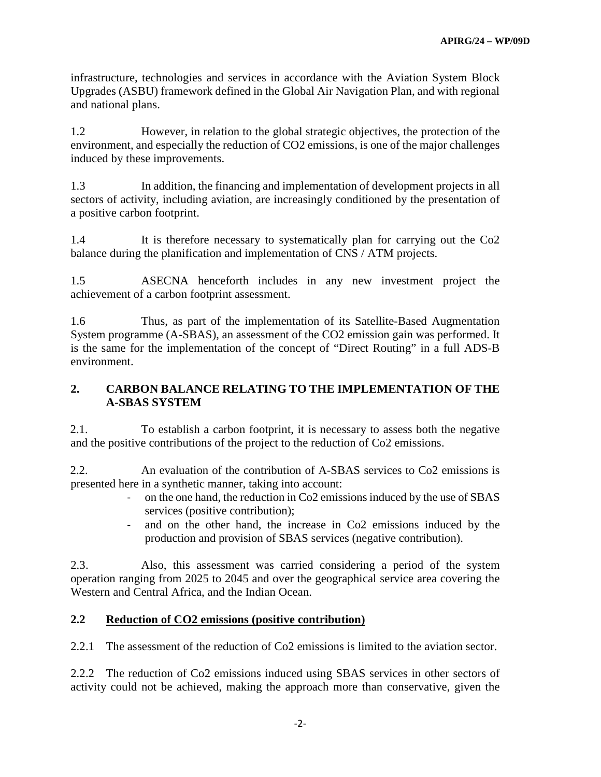infrastructure, technologies and services in accordance with the Aviation System Block Upgrades (ASBU) framework defined in the Global Air Navigation Plan, and with regional and national plans.

1.2 However, in relation to the global strategic objectives, the protection of the environment, and especially the reduction of CO2 emissions, is one of the major challenges induced by these improvements.

1.3 In addition, the financing and implementation of development projects in all sectors of activity, including aviation, are increasingly conditioned by the presentation of a positive carbon footprint.

1.4 It is therefore necessary to systematically plan for carrying out the Co2 balance during the planification and implementation of CNS / ATM projects.

1.5 ASECNA henceforth includes in any new investment project the achievement of a carbon footprint assessment.

1.6 Thus, as part of the implementation of its Satellite-Based Augmentation System programme (A-SBAS), an assessment of the CO2 emission gain was performed. It is the same for the implementation of the concept of "Direct Routing" in a full ADS-B environment.

# **2. CARBON BALANCE RELATING TO THE IMPLEMENTATION OF THE A-SBAS SYSTEM**

2.1. To establish a carbon footprint, it is necessary to assess both the negative and the positive contributions of the project to the reduction of Co2 emissions.

2.2. An evaluation of the contribution of A-SBAS services to Co2 emissions is presented here in a synthetic manner, taking into account:

- on the one hand, the reduction in Co2 emissions induced by the use of SBAS services (positive contribution);
- and on the other hand, the increase in Co2 emissions induced by the production and provision of SBAS services (negative contribution).

2.3. Also, this assessment was carried considering a period of the system operation ranging from 2025 to 2045 and over the geographical service area covering the Western and Central Africa, and the Indian Ocean.

# **2.2 Reduction of CO2 emissions (positive contribution)**

2.2.1 The assessment of the reduction of Co2 emissions is limited to the aviation sector.

2.2.2 The reduction of Co2 emissions induced using SBAS services in other sectors of activity could not be achieved, making the approach more than conservative, given the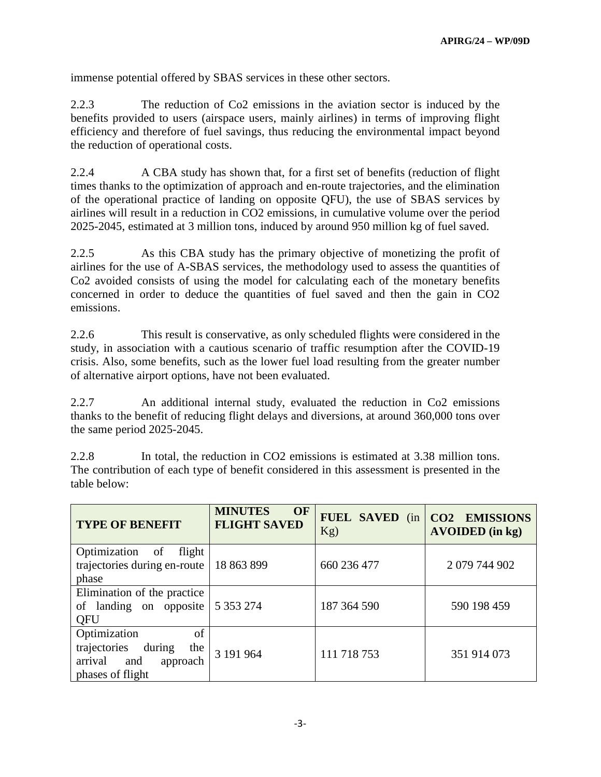immense potential offered by SBAS services in these other sectors.

2.2.3 The reduction of Co2 emissions in the aviation sector is induced by the benefits provided to users (airspace users, mainly airlines) in terms of improving flight efficiency and therefore of fuel savings, thus reducing the environmental impact beyond the reduction of operational costs.

2.2.4 A CBA study has shown that, for a first set of benefits (reduction of flight times thanks to the optimization of approach and en-route trajectories, and the elimination of the operational practice of landing on opposite QFU), the use of SBAS services by airlines will result in a reduction in CO2 emissions, in cumulative volume over the period 2025-2045, estimated at 3 million tons, induced by around 950 million kg of fuel saved.

2.2.5 As this CBA study has the primary objective of monetizing the profit of airlines for the use of A-SBAS services, the methodology used to assess the quantities of Co2 avoided consists of using the model for calculating each of the monetary benefits concerned in order to deduce the quantities of fuel saved and then the gain in CO2 emissions.

2.2.6 This result is conservative, as only scheduled flights were considered in the study, in association with a cautious scenario of traffic resumption after the COVID-19 crisis. Also, some benefits, such as the lower fuel load resulting from the greater number of alternative airport options, have not been evaluated.

2.2.7 An additional internal study, evaluated the reduction in Co2 emissions thanks to the benefit of reducing flight delays and diversions, at around 360,000 tons over the same period 2025-2045.

2.2.8 In total, the reduction in CO2 emissions is estimated at 3.38 million tons. The contribution of each type of benefit considered in this assessment is presented in the table below:

| <b>TYPE OF BENEFIT</b>                                                                                | <b>MINUTES</b><br>OF<br><b>FLIGHT SAVED</b> | Kg)         | <b>FUEL SAVED (in CO2 EMISSIONS)</b><br><b>AVOIDED</b> (in kg) |
|-------------------------------------------------------------------------------------------------------|---------------------------------------------|-------------|----------------------------------------------------------------|
| Optimization of<br>flight<br>trajectories during en-route<br>phase                                    | 18 863 899                                  | 660 236 477 | 2 079 744 902                                                  |
| Elimination of the practice<br>of landing on opposite<br>QFU                                          | 5 3 5 3 2 7 4                               | 187 364 590 | 590 198 459                                                    |
| Optimization<br>of<br>trajectories<br>during<br>the<br>arrival<br>and<br>approach<br>phases of flight | 3 191 964                                   | 111 718 753 | 351 914 073                                                    |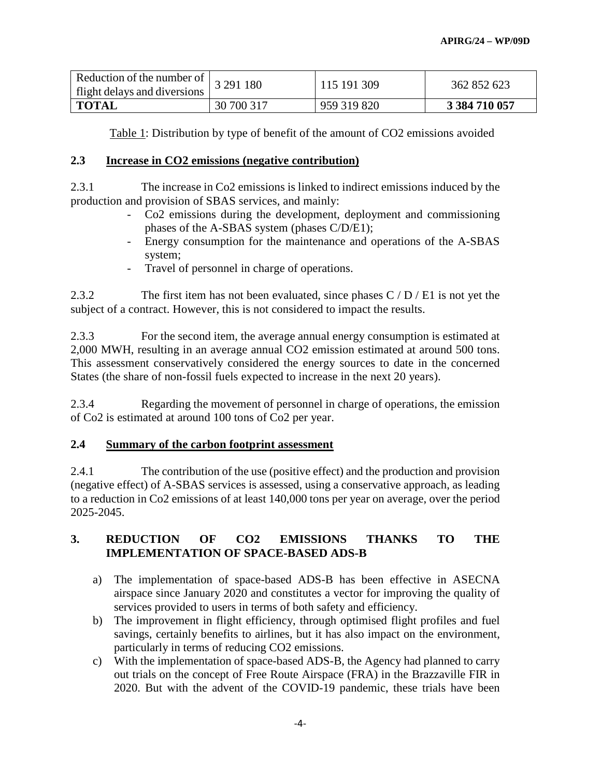| Reduction of the number of $\vert$<br>flight delays and diversions | 3 291 180  | 115 191 309 | 362 852 623   |
|--------------------------------------------------------------------|------------|-------------|---------------|
| <b>TOTAL</b>                                                       | 30 700 317 | 959 319 820 | 3 384 710 057 |

Table 1: Distribution by type of benefit of the amount of CO2 emissions avoided

#### **2.3 Increase in CO2 emissions (negative contribution)**

2.3.1 The increase in Co2 emissions is linked to indirect emissions induced by the production and provision of SBAS services, and mainly:

- Co2 emissions during the development, deployment and commissioning phases of the A-SBAS system (phases C/D/E1);
- Energy consumption for the maintenance and operations of the A-SBAS system;
- Travel of personnel in charge of operations.

2.3.2 The first item has not been evaluated, since phases C / D / E1 is not yet the subject of a contract. However, this is not considered to impact the results.

2.3.3 For the second item, the average annual energy consumption is estimated at 2,000 MWH, resulting in an average annual CO2 emission estimated at around 500 tons. This assessment conservatively considered the energy sources to date in the concerned States (the share of non-fossil fuels expected to increase in the next 20 years).

2.3.4 Regarding the movement of personnel in charge of operations, the emission of Co2 is estimated at around 100 tons of Co2 per year.

# **2.4 Summary of the carbon footprint assessment**

2.4.1 The contribution of the use (positive effect) and the production and provision (negative effect) of A-SBAS services is assessed, using a conservative approach, as leading to a reduction in Co2 emissions of at least 140,000 tons per year on average, over the period 2025-2045.

# **3. REDUCTION OF CO2 EMISSIONS THANKS TO THE IMPLEMENTATION OF SPACE-BASED ADS-B**

- a) The implementation of space-based ADS-B has been effective in ASECNA airspace since January 2020 and constitutes a vector for improving the quality of services provided to users in terms of both safety and efficiency.
- b) The improvement in flight efficiency, through optimised flight profiles and fuel savings, certainly benefits to airlines, but it has also impact on the environment, particularly in terms of reducing CO2 emissions.
- c) With the implementation of space-based ADS-B, the Agency had planned to carry out trials on the concept of Free Route Airspace (FRA) in the Brazzaville FIR in 2020. But with the advent of the COVID-19 pandemic, these trials have been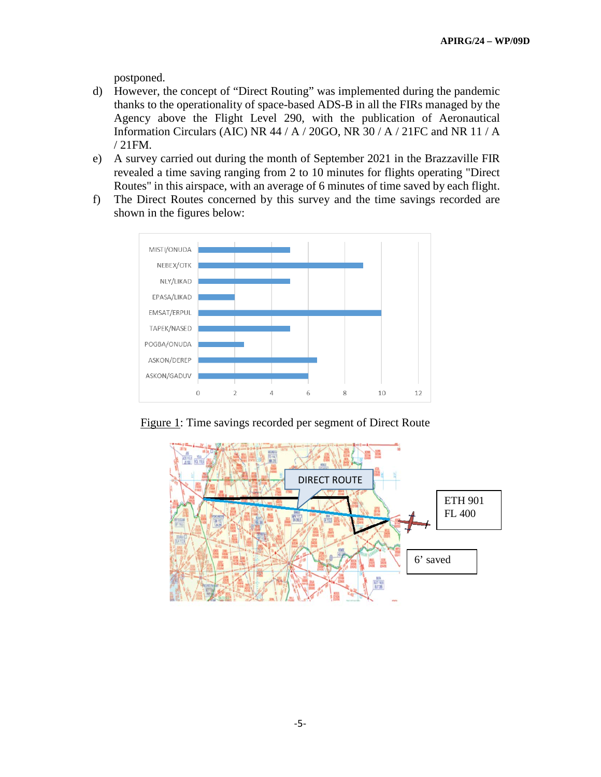postponed.

- d) However, the concept of "Direct Routing" was implemented during the pandemic thanks to the operationality of space-based ADS-B in all the FIRs managed by the Agency above the Flight Level 290, with the publication of Aeronautical Information Circulars (AIC) NR 44 / A / 20GO, NR 30 / A / 21FC and NR 11 / A / 21FM.
- e) A survey carried out during the month of September 2021 in the Brazzaville FIR revealed a time saving ranging from 2 to 10 minutes for flights operating "Direct Routes" in this airspace, with an average of 6 minutes of time saved by each flight.
- f) The Direct Routes concerned by this survey and the time savings recorded are shown in the figures below:



Figure 1: Time savings recorded per segment of Direct Route